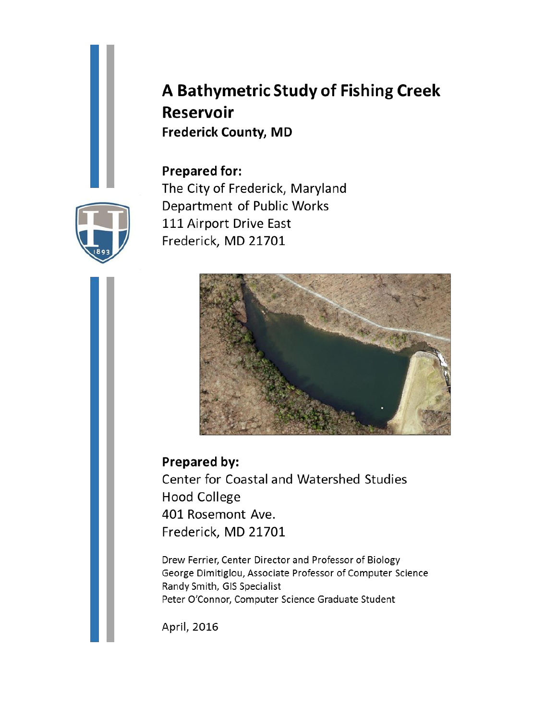# A Bathymetric Study of Fishing Creek **Reservoir Frederick County, MD**

**Prepared for:** The City of Frederick, Maryland Department of Public Works 111 Airport Drive East Frederick, MD 21701



**Prepared by:** Center for Coastal and Watershed Studies **Hood College** 401 Rosemont Ave. Frederick, MD 21701

Drew Ferrier, Center Director and Professor of Biology George Dimitiglou, Associate Professor of Computer Science Randy Smith, GIS Specialist Peter O'Connor, Computer Science Graduate Student

April, 2016

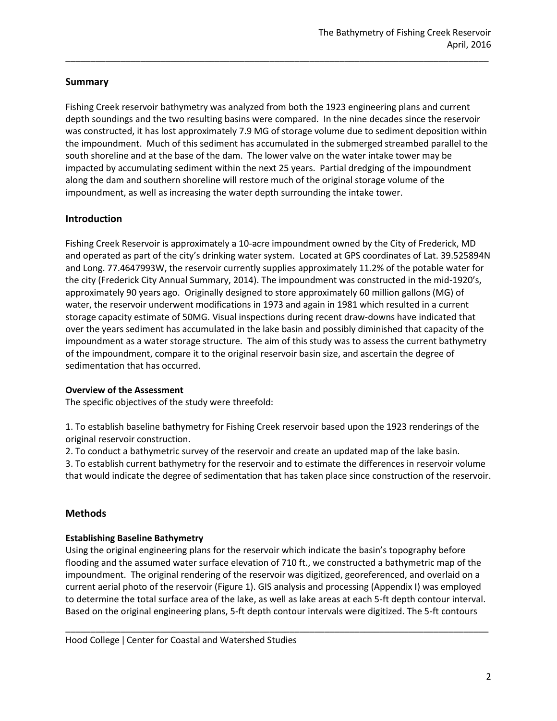# **Summary**

Fishing Creek reservoir bathymetry was analyzed from both the 1923 engineering plans and current depth soundings and the two resulting basins were compared. In the nine decades since the reservoir was constructed, it has lost approximately 7.9 MG of storage volume due to sediment deposition within the impoundment. Much of this sediment has accumulated in the submerged streambed parallel to the south shoreline and at the base of the dam. The lower valve on the water intake tower may be impacted by accumulating sediment within the next 25 years. Partial dredging of the impoundment along the dam and southern shoreline will restore much of the original storage volume of the impoundment, as well as increasing the water depth surrounding the intake tower.

\_\_\_\_\_\_\_\_\_\_\_\_\_\_\_\_\_\_\_\_\_\_\_\_\_\_\_\_\_\_\_\_\_\_\_\_\_\_\_\_\_\_\_\_\_\_\_\_\_\_\_\_\_\_\_\_\_\_\_\_\_\_\_\_\_\_\_\_\_\_\_\_\_\_\_\_\_\_\_\_\_\_\_\_\_

# **Introduction**

Fishing Creek Reservoir is approximately a 10-acre impoundment owned by the City of Frederick, MD and operated as part of the city's drinking water system. Located at GPS coordinates of Lat. 39.525894N and Long. 77.4647993W, the reservoir currently supplies approximately 11.2% of the potable water for the city (Frederick City Annual Summary, 2014). The impoundment was constructed in the mid-1920's, approximately 90 years ago. Originally designed to store approximately 60 million gallons (MG) of water, the reservoir underwent modifications in 1973 and again in 1981 which resulted in a current storage capacity estimate of 50MG. Visual inspections during recent draw-downs have indicated that over the years sediment has accumulated in the lake basin and possibly diminished that capacity of the impoundment as a water storage structure. The aim of this study was to assess the current bathymetry of the impoundment, compare it to the original reservoir basin size, and ascertain the degree of sedimentation that has occurred.

# **Overview of the Assessment**

The specific objectives of the study were threefold:

1. To establish baseline bathymetry for Fishing Creek reservoir based upon the 1923 renderings of the original reservoir construction.

2. To conduct a bathymetric survey of the reservoir and create an updated map of the lake basin.

3. To establish current bathymetry for the reservoir and to estimate the differences in reservoir volume that would indicate the degree of sedimentation that has taken place since construction of the reservoir.

# **Methods**

# **Establishing Baseline Bathymetry**

Using the original engineering plans for the reservoir which indicate the basin's topography before flooding and the assumed water surface elevation of 710 ft., we constructed a bathymetric map of the impoundment. The original rendering of the reservoir was digitized, georeferenced, and overlaid on a current aerial photo of the reservoir (Figure 1). GIS analysis and processing (Appendix I) was employed to determine the total surface area of the lake, as well as lake areas at each 5-ft depth contour interval. Based on the original engineering plans, 5-ft depth contour intervals were digitized. The 5-ft contours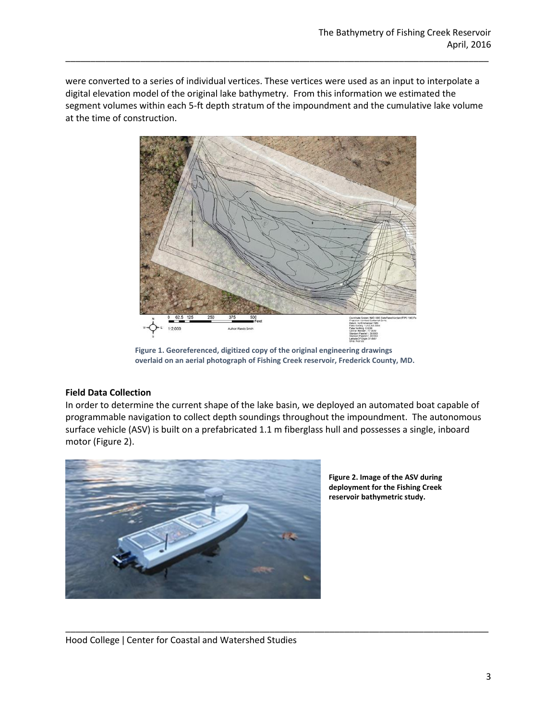were converted to a series of individual vertices. These vertices were used as an input to interpolate a digital elevation model of the original lake bathymetry. From this information we estimated the segment volumes within each 5-ft depth stratum of the impoundment and the cumulative lake volume at the time of construction.

\_\_\_\_\_\_\_\_\_\_\_\_\_\_\_\_\_\_\_\_\_\_\_\_\_\_\_\_\_\_\_\_\_\_\_\_\_\_\_\_\_\_\_\_\_\_\_\_\_\_\_\_\_\_\_\_\_\_\_\_\_\_\_\_\_\_\_\_\_\_\_\_\_\_\_\_\_\_\_\_\_\_\_\_\_



**Figure 1. Georeferenced, digitized copy of the original engineering drawings overlaid on an aerial photograph of Fishing Creek reservoir, Frederick County, MD.**

#### **Field Data Collection**

In order to determine the current shape of the lake basin, we deployed an automated boat capable of programmable navigation to collect depth soundings throughout the impoundment. The autonomous surface vehicle (ASV) is built on a prefabricated 1.1 m fiberglass hull and possesses a single, inboard motor (Figure 2).

\_\_\_\_\_\_\_\_\_\_\_\_\_\_\_\_\_\_\_\_\_\_\_\_\_\_\_\_\_\_\_\_\_\_\_\_\_\_\_\_\_\_\_\_\_\_\_\_\_\_\_\_\_\_\_\_\_\_\_\_\_\_\_\_\_\_\_\_\_\_\_\_\_\_\_\_\_\_\_\_\_\_\_\_\_



**Figure 2. Image of the ASV during deployment for the Fishing Creek reservoir bathymetric study.**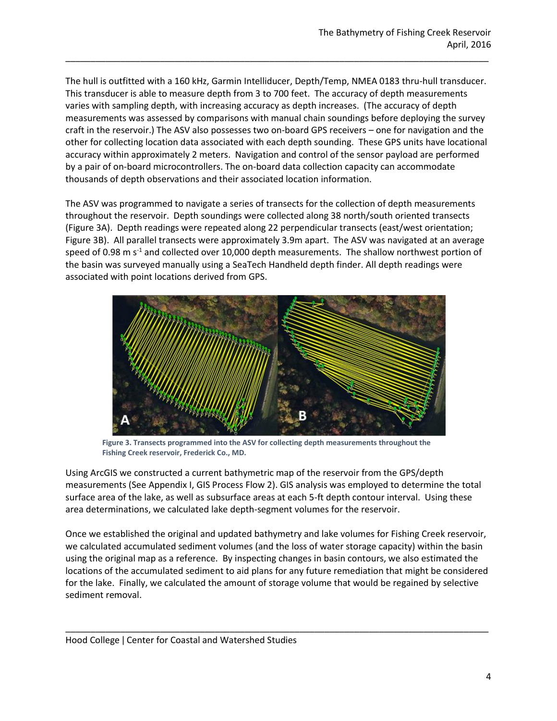The hull is outfitted with a 160 kHz, Garmin Intelliducer, Depth/Temp, NMEA 0183 thru-hull transducer. This transducer is able to measure depth from 3 to 700 feet. The accuracy of depth measurements varies with sampling depth, with increasing accuracy as depth increases. (The accuracy of depth measurements was assessed by comparisons with manual chain soundings before deploying the survey craft in the reservoir.) The ASV also possesses two on-board GPS receivers – one for navigation and the other for collecting location data associated with each depth sounding. These GPS units have locational accuracy within approximately 2 meters. Navigation and control of the sensor payload are performed by a pair of on-board microcontrollers. The on-board data collection capacity can accommodate thousands of depth observations and their associated location information.

\_\_\_\_\_\_\_\_\_\_\_\_\_\_\_\_\_\_\_\_\_\_\_\_\_\_\_\_\_\_\_\_\_\_\_\_\_\_\_\_\_\_\_\_\_\_\_\_\_\_\_\_\_\_\_\_\_\_\_\_\_\_\_\_\_\_\_\_\_\_\_\_\_\_\_\_\_\_\_\_\_\_\_\_\_

The ASV was programmed to navigate a series of transects for the collection of depth measurements throughout the reservoir. Depth soundings were collected along 38 north/south oriented transects (Figure 3A). Depth readings were repeated along 22 perpendicular transects (east/west orientation; Figure 3B). All parallel transects were approximately 3.9m apart. The ASV was navigated at an average speed of 0.98 m  $s<sup>-1</sup>$  and collected over 10,000 depth measurements. The shallow northwest portion of the basin was surveyed manually using a SeaTech Handheld depth finder. All depth readings were associated with point locations derived from GPS.



**Figure 3. Transects programmed into the ASV for collecting depth measurements throughout the Fishing Creek reservoir, Frederick Co., MD.**

Using ArcGIS we constructed a current bathymetric map of the reservoir from the GPS/depth measurements (See Appendix I, GIS Process Flow 2). GIS analysis was employed to determine the total surface area of the lake, as well as subsurface areas at each 5-ft depth contour interval. Using these area determinations, we calculated lake depth-segment volumes for the reservoir.

Once we established the original and updated bathymetry and lake volumes for Fishing Creek reservoir, we calculated accumulated sediment volumes (and the loss of water storage capacity) within the basin using the original map as a reference. By inspecting changes in basin contours, we also estimated the locations of the accumulated sediment to aid plans for any future remediation that might be considered for the lake. Finally, we calculated the amount of storage volume that would be regained by selective sediment removal.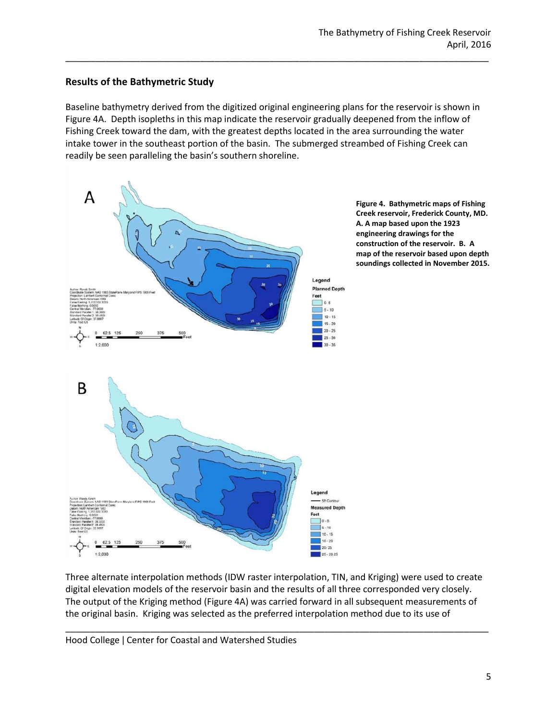# **Results of the Bathymetric Study**

Baseline bathymetry derived from the digitized original engineering plans for the reservoir is shown in Figure 4A. Depth isopleths in this map indicate the reservoir gradually deepened from the inflow of Fishing Creek toward the dam, with the greatest depths located in the area surrounding the water intake tower in the southeast portion of the basin. The submerged streambed of Fishing Creek can readily be seen paralleling the basin's southern shoreline.

\_\_\_\_\_\_\_\_\_\_\_\_\_\_\_\_\_\_\_\_\_\_\_\_\_\_\_\_\_\_\_\_\_\_\_\_\_\_\_\_\_\_\_\_\_\_\_\_\_\_\_\_\_\_\_\_\_\_\_\_\_\_\_\_\_\_\_\_\_\_\_\_\_\_\_\_\_\_\_\_\_\_\_\_\_



**Figure 4. Bathymetric maps of Fishing Creek reservoir, Frederick County, MD. A. A map based upon the 1923 engineering drawings for the construction of the reservoir. B. A map of the reservoir based upon depth soundings collected in November 2015.**

Three alternate interpolation methods (IDW raster interpolation, TIN, and Kriging) were used to create digital elevation models of the reservoir basin and the results of all three corresponded very closely. The output of the Kriging method (Figure 4A) was carried forward in all subsequent measurements of the original basin. Kriging was selected as the preferred interpolation method due to its use of

\_\_\_\_\_\_\_\_\_\_\_\_\_\_\_\_\_\_\_\_\_\_\_\_\_\_\_\_\_\_\_\_\_\_\_\_\_\_\_\_\_\_\_\_\_\_\_\_\_\_\_\_\_\_\_\_\_\_\_\_\_\_\_\_\_\_\_\_\_\_\_\_\_\_\_\_\_\_\_\_\_\_\_\_\_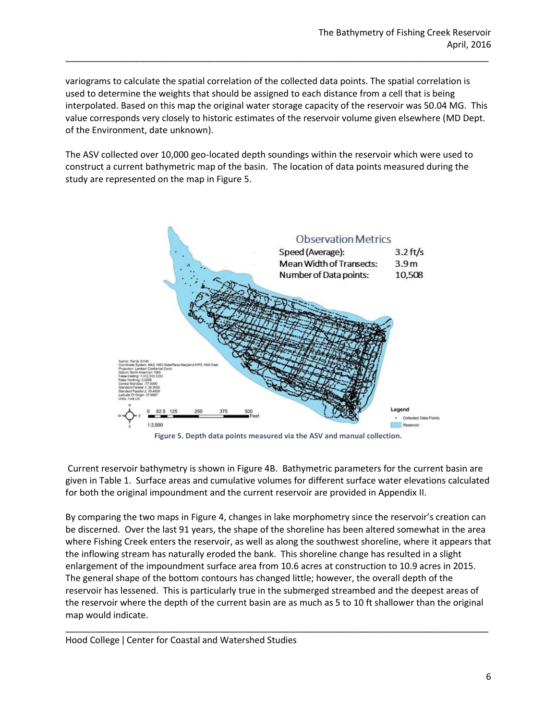variograms to calculate the spatial correlation of the collected data points. The spatial correlation is used to determine the weights that should be assigned to each distance from a cell that is being interpolated. Based on this map the original water storage capacity of the reservoir was 50.04 MG. This value corresponds very closely to historic estimates of the reservoir volume given elsewhere (MD Dept. of the Environment, date unknown).

\_\_\_\_\_\_\_\_\_\_\_\_\_\_\_\_\_\_\_\_\_\_\_\_\_\_\_\_\_\_\_\_\_\_\_\_\_\_\_\_\_\_\_\_\_\_\_\_\_\_\_\_\_\_\_\_\_\_\_\_\_\_\_\_\_\_\_\_\_\_\_\_\_\_\_\_\_\_\_\_\_\_\_\_\_

The ASV collected over 10,000 geo-located depth soundings within the reservoir which were used to construct a current bathymetric map of the basin. The location of data points measured during the study are represented on the map in Figure 5.



**Figure 5. Depth data points measured via the ASV and manual collection.**

Current reservoir bathymetry is shown in Figure 4B. Bathymetric parameters for the current basin are given in Table 1. Surface areas and cumulative volumes for different surface water elevations calculated for both the original impoundment and the current reservoir are provided in Appendix II.

By comparing the two maps in Figure 4, changes in lake morphometry since the reservoir's creation can be discerned. Over the last 91 years, the shape of the shoreline has been altered somewhat in the area where Fishing Creek enters the reservoir, as well as along the southwest shoreline, where it appears that the inflowing stream has naturally eroded the bank. This shoreline change has resulted in a slight enlargement of the impoundment surface area from 10.6 acres at construction to 10.9 acres in 2015. The general shape of the bottom contours has changed little; however, the overall depth of the reservoir has lessened. This is particularly true in the submerged streambed and the deepest areas of the reservoir where the depth of the current basin are as much as 5 to 10 ft shallower than the original map would indicate.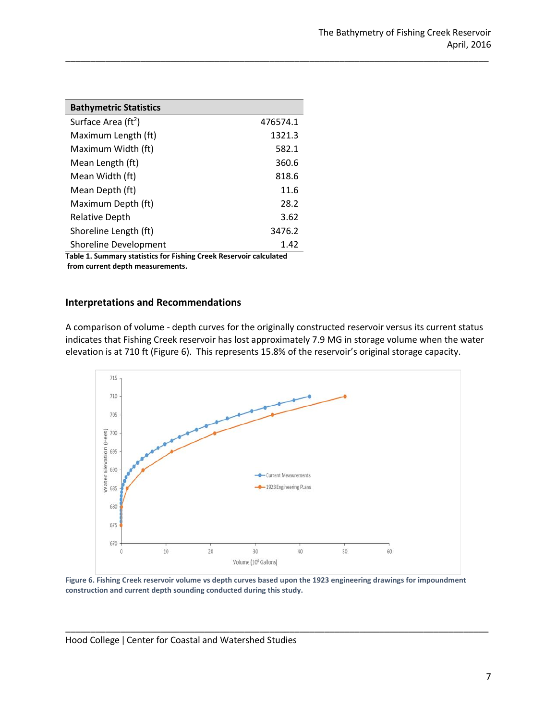| <b>Bathymetric Statistics</b>   |          |
|---------------------------------|----------|
| Surface Area (ft <sup>2</sup> ) | 476574.1 |
| Maximum Length (ft)             | 1321.3   |
| Maximum Width (ft)              | 582.1    |
| Mean Length (ft)                | 360.6    |
| Mean Width (ft)                 | 818.6    |
| Mean Depth (ft)                 | 11.6     |
| Maximum Depth (ft)              | 28.2     |
| <b>Relative Depth</b>           | 3.62     |
| Shoreline Length (ft)           | 3476.2   |
| Shoreline Development           | 1.42     |

**Table 1. Summary statistics for Fishing Creek Reservoir calculated from current depth measurements.**

#### **Interpretations and Recommendations**

A comparison of volume - depth curves for the originally constructed reservoir versus its current status indicates that Fishing Creek reservoir has lost approximately 7.9 MG in storage volume when the water elevation is at 710 ft (Figure 6). This represents 15.8% of the reservoir's original storage capacity.

\_\_\_\_\_\_\_\_\_\_\_\_\_\_\_\_\_\_\_\_\_\_\_\_\_\_\_\_\_\_\_\_\_\_\_\_\_\_\_\_\_\_\_\_\_\_\_\_\_\_\_\_\_\_\_\_\_\_\_\_\_\_\_\_\_\_\_\_\_\_\_\_\_\_\_\_\_\_\_\_\_\_\_\_\_



**Figure 6. Fishing Creek reservoir volume vs depth curves based upon the 1923 engineering drawings for impoundment construction and current depth sounding conducted during this study.**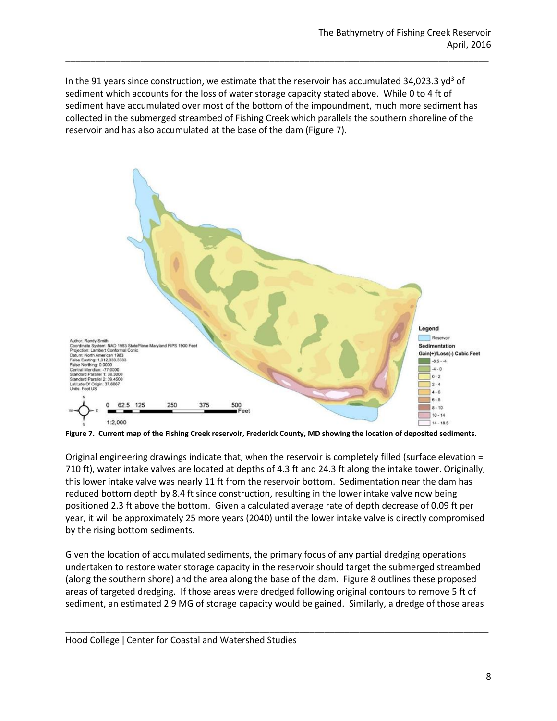In the 91 years since construction, we estimate that the reservoir has accumulated 34,023.3 yd<sup>3</sup> of sediment which accounts for the loss of water storage capacity stated above. While 0 to 4 ft of sediment have accumulated over most of the bottom of the impoundment, much more sediment has collected in the submerged streambed of Fishing Creek which parallels the southern shoreline of the reservoir and has also accumulated at the base of the dam (Figure 7).

\_\_\_\_\_\_\_\_\_\_\_\_\_\_\_\_\_\_\_\_\_\_\_\_\_\_\_\_\_\_\_\_\_\_\_\_\_\_\_\_\_\_\_\_\_\_\_\_\_\_\_\_\_\_\_\_\_\_\_\_\_\_\_\_\_\_\_\_\_\_\_\_\_\_\_\_\_\_\_\_\_\_\_\_\_



**Figure 7. Current map of the Fishing Creek reservoir, Frederick County, MD showing the location of deposited sediments.** 

Original engineering drawings indicate that, when the reservoir is completely filled (surface elevation = 710 ft), water intake valves are located at depths of 4.3 ft and 24.3 ft along the intake tower. Originally, this lower intake valve was nearly 11 ft from the reservoir bottom. Sedimentation near the dam has reduced bottom depth by 8.4 ft since construction, resulting in the lower intake valve now being positioned 2.3 ft above the bottom. Given a calculated average rate of depth decrease of 0.09 ft per year, it will be approximately 25 more years (2040) until the lower intake valve is directly compromised by the rising bottom sediments.

Given the location of accumulated sediments, the primary focus of any partial dredging operations undertaken to restore water storage capacity in the reservoir should target the submerged streambed (along the southern shore) and the area along the base of the dam. Figure 8 outlines these proposed areas of targeted dredging. If those areas were dredged following original contours to remove 5 ft of sediment, an estimated 2.9 MG of storage capacity would be gained. Similarly, a dredge of those areas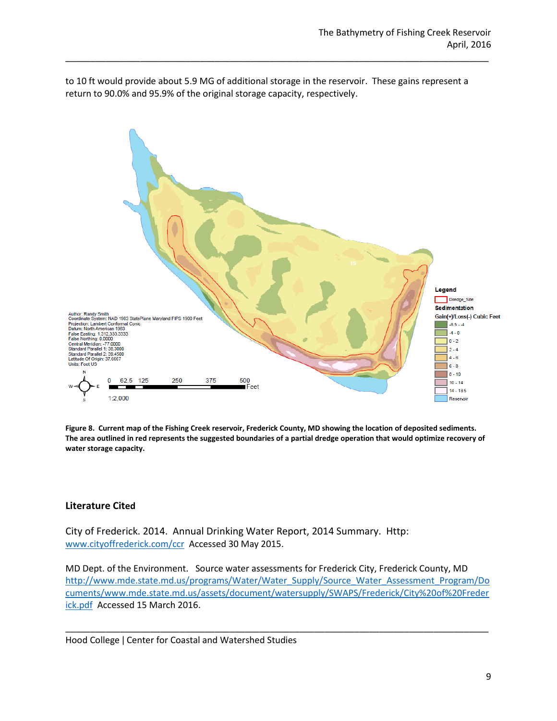to 10 ft would provide about 5.9 MG of additional storage in the reservoir. These gains represent a return to 90.0% and 95.9% of the original storage capacity, respectively.

\_\_\_\_\_\_\_\_\_\_\_\_\_\_\_\_\_\_\_\_\_\_\_\_\_\_\_\_\_\_\_\_\_\_\_\_\_\_\_\_\_\_\_\_\_\_\_\_\_\_\_\_\_\_\_\_\_\_\_\_\_\_\_\_\_\_\_\_\_\_\_\_\_\_\_\_\_\_\_\_\_\_\_\_\_



**Figure 8. Current map of the Fishing Creek reservoir, Frederick County, MD showing the location of deposited sediments. The area outlined in red represents the suggested boundaries of a partial dredge operation that would optimize recovery of water storage capacity.**

#### **Literature Cited**

City of Frederick. 2014. Annual Drinking Water Report, 2014 Summary. Http: [www.cityoffrederick.com/ccr](http://www.cityoffrederick.com/ccr) Accessed 30 May 2015.

MD Dept. of the Environment. Source water assessments for Frederick City, Frederick County, MD [http://www.mde.state.md.us/programs/Water/Water\\_Supply/Source\\_Water\\_Assessment\\_Program/Do](http://www.mde.state.md.us/programs/Water/Water_Supply/Source_Water_Assessment_Program/Documents/www.mde.state.md.us/assets/document/watersupply/SWAPS/Frederick/City%20of%20Frederick.pdf) [cuments/www.mde.state.md.us/assets/document/watersupply/SWAPS/Frederick/City%20of%20Freder](http://www.mde.state.md.us/programs/Water/Water_Supply/Source_Water_Assessment_Program/Documents/www.mde.state.md.us/assets/document/watersupply/SWAPS/Frederick/City%20of%20Frederick.pdf) [ick.pdf](http://www.mde.state.md.us/programs/Water/Water_Supply/Source_Water_Assessment_Program/Documents/www.mde.state.md.us/assets/document/watersupply/SWAPS/Frederick/City%20of%20Frederick.pdf) Accessed 15 March 2016.

\_\_\_\_\_\_\_\_\_\_\_\_\_\_\_\_\_\_\_\_\_\_\_\_\_\_\_\_\_\_\_\_\_\_\_\_\_\_\_\_\_\_\_\_\_\_\_\_\_\_\_\_\_\_\_\_\_\_\_\_\_\_\_\_\_\_\_\_\_\_\_\_\_\_\_\_\_\_\_\_\_\_\_\_\_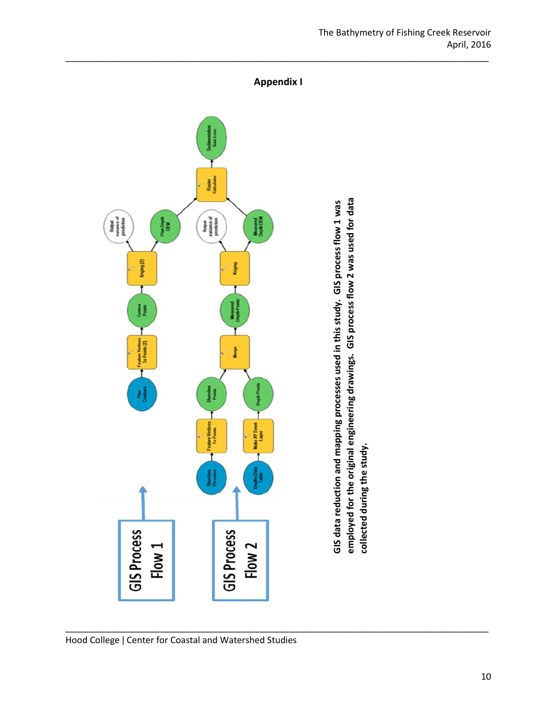

employed for the original engineering drawings. GIS process flow 2 was used for data **employed for the original engineering drawings. GIS process flow 2 was used for data**  GIS data reduction and mapping processes used in this study. GIS process flow 1 was **GIS data reduction and mapping processes used in this study. GIS process flow 1 was**  collected during the study. **collected during the study.**

The Bathymetry of Fishing Creek Reservoir April, 2016

Hood College ǀ Center for Coastal and Watershed Studies